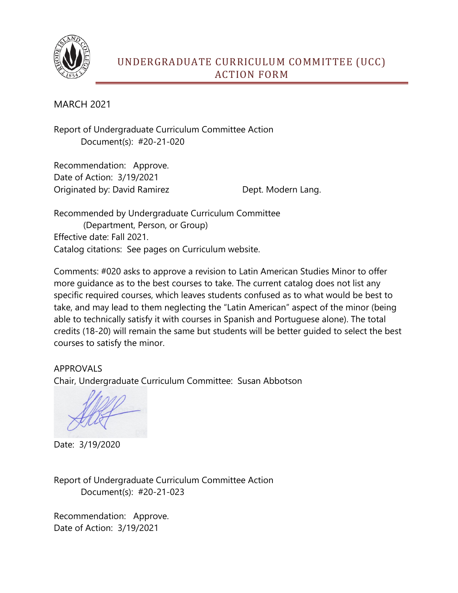

## UNDERGRADUATE CURRICULUM COMMITTEE (UCC) ACTION FORM

MARCH 2021

Report of Undergraduate Curriculum Committee Action Document(s): #20-21-020

Recommendation: Approve. Date of Action: 3/19/2021 Originated by: David Ramirez Dept. Modern Lang.

Recommended by Undergraduate Curriculum Committee (Department, Person, or Group) Effective date: Fall 2021. Catalog citations: See pages on Curriculum website.

Comments: #020 asks to approve a revision to Latin American Studies Minor to offer more guidance as to the best courses to take. The current catalog does not list any specific required courses, which leaves students confused as to what would be best to take, and may lead to them neglecting the "Latin American" aspect of the minor (being able to technically satisfy it with courses in Spanish and Portuguese alone). The total credits (18-20) will remain the same but students will be better guided to select the best courses to satisfy the minor.

## APPROVALS

Chair, Undergraduate Curriculum Committee: Susan Abbotson

Date: 3/19/2020

Report of Undergraduate Curriculum Committee Action Document(s): #20-21-023

Recommendation: Approve. Date of Action: 3/19/2021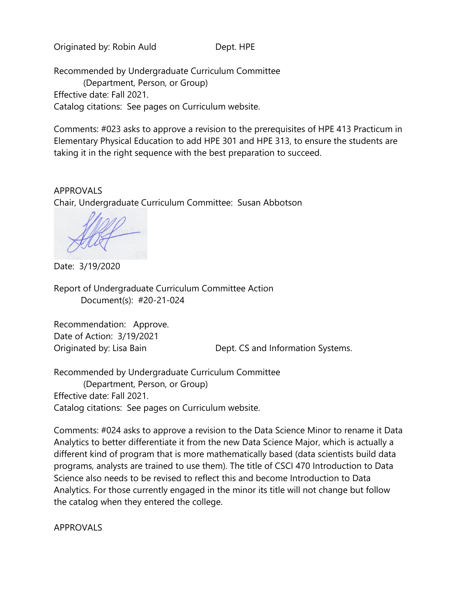Originated by: Robin Auld Dept. HPE

Recommended by Undergraduate Curriculum Committee (Department, Person, or Group) Effective date: Fall 2021. Catalog citations: See pages on Curriculum website.

Comments: #023 asks to approve a revision to the prerequisites of HPE 413 Practicum in Elementary Physical Education to add HPE 301 and HPE 313, to ensure the students are taking it in the right sequence with the best preparation to succeed.

APPROVALS Chair, Undergraduate Curriculum Committee: Susan Abbotson

Date: 3/19/2020

Report of Undergraduate Curriculum Committee Action Document(s): #20-21-024

Recommendation: Approve. Date of Action: 3/19/2021

Originated by: Lisa Bain Dept. CS and Information Systems.

Recommended by Undergraduate Curriculum Committee (Department, Person, or Group) Effective date: Fall 2021. Catalog citations: See pages on Curriculum website.

Comments: #024 asks to approve a revision to the Data Science Minor to rename it Data Analytics to better differentiate it from the new Data Science Major, which is actually a different kind of program that is more mathematically based (data scientists build data programs, analysts are trained to use them). The title of CSCI 470 Introduction to Data Science also needs to be revised to reflect this and become Introduction to Data Analytics. For those currently engaged in the minor its title will not change but follow the catalog when they entered the college.

APPROVALS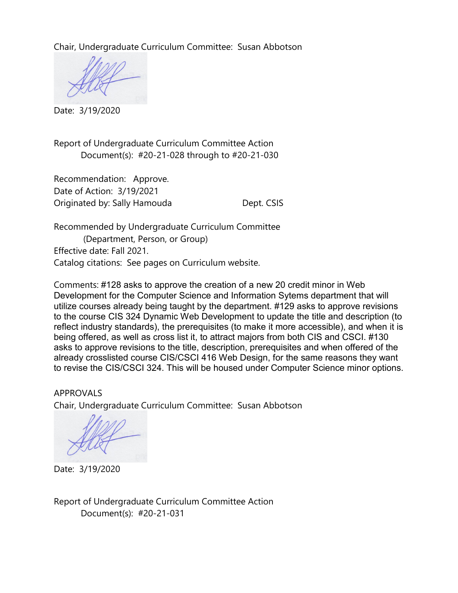Chair, Undergraduate Curriculum Committee: Susan Abbotson

Date: 3/19/2020

Report of Undergraduate Curriculum Committee Action Document(s): #20-21-028 through to #20-21-030

Recommendation: Approve. Date of Action: 3/19/2021 Originated by: Sally Hamouda Dept. CSIS

Recommended by Undergraduate Curriculum Committee (Department, Person, or Group) Effective date: Fall 2021. Catalog citations: See pages on Curriculum website.

Comments: #128 asks to approve the creation of a new 20 credit minor in Web Development for the Computer Science and Information Sytems department that will utilize courses already being taught by the department. #129 asks to approve revisions to the course CIS 324 Dynamic Web Development to update the title and description (to reflect industry standards), the prerequisites (to make it more accessible), and when it is being offered, as well as cross list it, to attract majors from both CIS and CSCI. #130 asks to approve revisions to the title, description, prerequisites and when offered of the already crosslisted course CIS/CSCI 416 Web Design, for the same reasons they want to revise the CIS/CSCI 324. This will be housed under Computer Science minor options.

APPROVALS Chair, Undergraduate Curriculum Committee: Susan Abbotson

Date: 3/19/2020

Report of Undergraduate Curriculum Committee Action Document(s): #20-21-031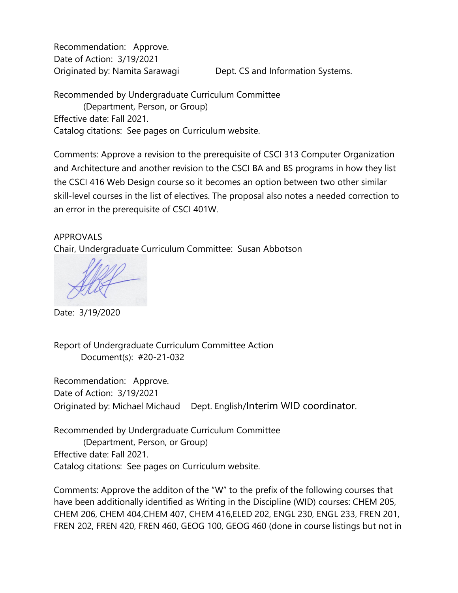Recommendation: Approve. Date of Action: 3/19/2021

Originated by: Namita Sarawagi Dept. CS and Information Systems.

Recommended by Undergraduate Curriculum Committee (Department, Person, or Group) Effective date: Fall 2021. Catalog citations: See pages on Curriculum website.

Comments: Approve a revision to the prerequisite of CSCI 313 Computer Organization and Architecture and another revision to the CSCI BA and BS programs in how they list the CSCI 416 Web Design course so it becomes an option between two other similar skill-level courses in the list of electives. The proposal also notes a needed correction to an error in the prerequisite of CSCI 401W.

## APPROVALS

Chair, Undergraduate Curriculum Committee: Susan Abbotson

Date: 3/19/2020

Report of Undergraduate Curriculum Committee Action Document(s): #20-21-032

Recommendation: Approve. Date of Action: 3/19/2021 Originated by: Michael Michaud Dept. English/Interim WID coordinator.

Recommended by Undergraduate Curriculum Committee (Department, Person, or Group) Effective date: Fall 2021. Catalog citations: See pages on Curriculum website.

Comments: Approve the additon of the "W" to the prefix of the following courses that have been additionally identified as Writing in the Discipline (WID) courses: CHEM 205, CHEM 206, CHEM 404,CHEM 407, CHEM 416,ELED 202, ENGL 230, ENGL 233, FREN 201, FREN 202, FREN 420, FREN 460, GEOG 100, GEOG 460 (done in course listings but not in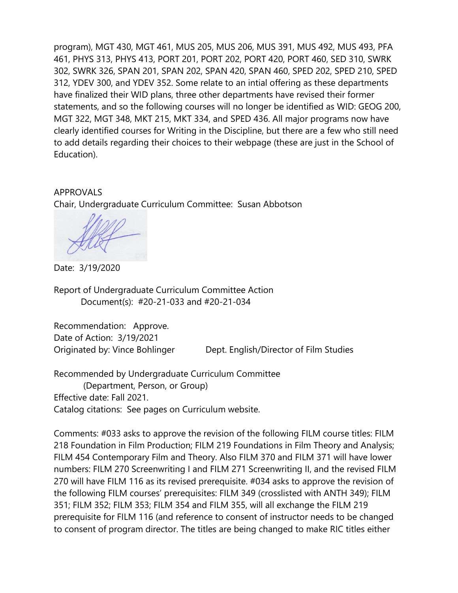program), MGT 430, MGT 461, MUS 205, MUS 206, MUS 391, MUS 492, MUS 493, PFA 461, PHYS 313, PHYS 413, PORT 201, PORT 202, PORT 420, PORT 460, SED 310, SWRK 302, SWRK 326, SPAN 201, SPAN 202, SPAN 420, SPAN 460, SPED 202, SPED 210, SPED 312, YDEV 300, and YDEV 352. Some relate to an intial offering as these departments have finalized their WID plans, three other departments have revised their former statements, and so the following courses will no longer be identified as WID: GEOG 200, MGT 322, MGT 348, MKT 215, MKT 334, and SPED 436. All major programs now have clearly identified courses for Writing in the Discipline, but there are a few who still need to add details regarding their choices to their webpage (these are just in the School of Education).

APPROVALS Chair, Undergraduate Curriculum Committee: Susan Abbotson

Date: 3/19/2020

Report of Undergraduate Curriculum Committee Action Document(s): #20-21-033 and #20-21-034

Recommendation: Approve. Date of Action: 3/19/2021 Originated by: Vince Bohlinger Dept. English/Director of Film Studies

Recommended by Undergraduate Curriculum Committee (Department, Person, or Group) Effective date: Fall 2021. Catalog citations: See pages on Curriculum website.

Comments: #033 asks to approve the revision of the following FILM course titles: FILM 218 Foundation in Film Production; FILM 219 Foundations in Film Theory and Analysis; FILM 454 Contemporary Film and Theory. Also FILM 370 and FILM 371 will have lower numbers: FILM 270 Screenwriting I and FILM 271 Screenwriting II, and the revised FILM 270 will have FILM 116 as its revised prerequisite. #034 asks to approve the revision of the following FILM courses' prerequisites: FILM 349 (crosslisted with ANTH 349); FILM 351; FILM 352; FILM 353; FILM 354 and FILM 355, will all exchange the FILM 219 prerequisite for FILM 116 (and reference to consent of instructor needs to be changed to consent of program director. The titles are being changed to make RIC titles either